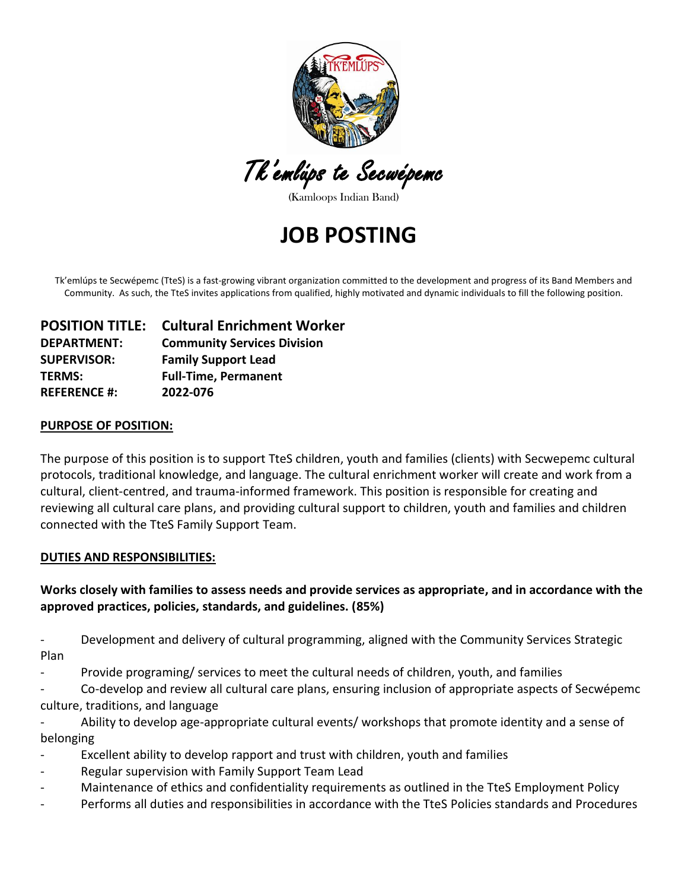

Tk'emlúps te Secwépemc

(Kamloops Indian Band)

**JOB POSTING**

Tk'emlúps te Secwépemc (TteS) is a fast-growing vibrant organization committed to the development and progress of its Band Members and Community. As such, the TteS invites applications from qualified, highly motivated and dynamic individuals to fill the following position.

|                     | <b>POSITION TITLE: Cultural Enrichment Worker</b> |
|---------------------|---------------------------------------------------|
| <b>DEPARTMENT:</b>  | <b>Community Services Division</b>                |
| <b>SUPERVISOR:</b>  | <b>Family Support Lead</b>                        |
| <b>TERMS:</b>       | <b>Full-Time, Permanent</b>                       |
| <b>REFERENCE #:</b> | 2022-076                                          |

#### **PURPOSE OF POSITION:**

The purpose of this position is to support TteS children, youth and families (clients) with Secwepemc cultural protocols, traditional knowledge, and language. The cultural enrichment worker will create and work from a cultural, client-centred, and trauma-informed framework. This position is responsible for creating and reviewing all cultural care plans, and providing cultural support to children, youth and families and children connected with the TteS Family Support Team.

#### **DUTIES AND RESPONSIBILITIES:**

## **Works closely with families to assess needs and provide services as appropriate, and in accordance with the approved practices, policies, standards, and guidelines. (85%)**

Development and delivery of cultural programming, aligned with the Community Services Strategic Plan

Provide programing/ services to meet the cultural needs of children, youth, and families

- Co-develop and review all cultural care plans, ensuring inclusion of appropriate aspects of Secwépemc culture, traditions, and language

Ability to develop age-appropriate cultural events/ workshops that promote identity and a sense of belonging

- Excellent ability to develop rapport and trust with children, youth and families
- Regular supervision with Family Support Team Lead
- Maintenance of ethics and confidentiality requirements as outlined in the TteS Employment Policy
- Performs all duties and responsibilities in accordance with the TteS Policies standards and Procedures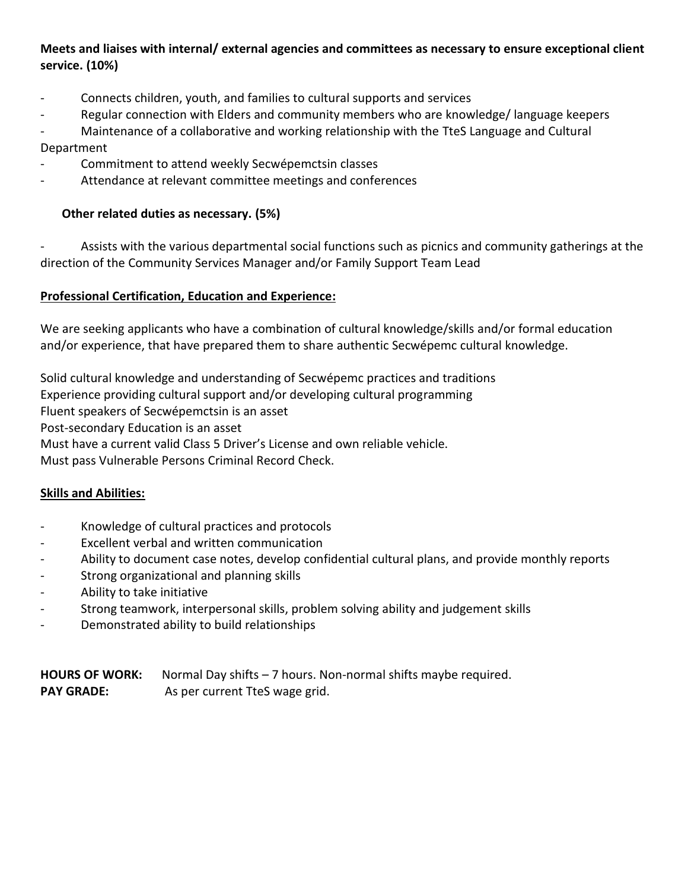## **Meets and liaises with internal/ external agencies and committees as necessary to ensure exceptional client service. (10%)**

- Connects children, youth, and families to cultural supports and services
- Regular connection with Elders and community members who are knowledge/ language keepers
- Maintenance of a collaborative and working relationship with the TteS Language and Cultural Department
- Commitment to attend weekly Secwépemctsin classes
- Attendance at relevant committee meetings and conferences

### **Other related duties as necessary. (5%)**

Assists with the various departmental social functions such as picnics and community gatherings at the direction of the Community Services Manager and/or Family Support Team Lead

#### **Professional Certification, Education and Experience:**

We are seeking applicants who have a combination of cultural knowledge/skills and/or formal education and/or experience, that have prepared them to share authentic Secwépemc cultural knowledge.

Solid cultural knowledge and understanding of Secwépemc practices and traditions

Experience providing cultural support and/or developing cultural programming

Fluent speakers of Secwépemctsin is an asset

Post-secondary Education is an asset

Must have a current valid Class 5 Driver's License and own reliable vehicle.

Must pass Vulnerable Persons Criminal Record Check.

#### **Skills and Abilities:**

- Knowledge of cultural practices and protocols
- Excellent verbal and written communication
- Ability to document case notes, develop confidential cultural plans, and provide monthly reports
- Strong organizational and planning skills
- Ability to take initiative
- Strong teamwork, interpersonal skills, problem solving ability and judgement skills
- Demonstrated ability to build relationships

**HOURS OF WORK:** Normal Day shifts – 7 hours. Non-normal shifts maybe required. **PAY GRADE:** As per current TteS wage grid.